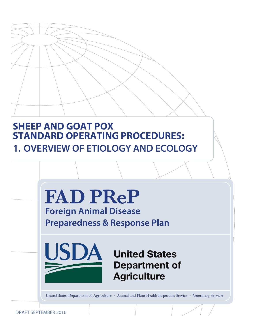# **SHEEP AND GOAT POX STANDARD OPERATING PROCEDURES: 1. OVERVIEW OF ETIOLOGY AND ECOLOGY**



DRAFT SEPTEMBER 2016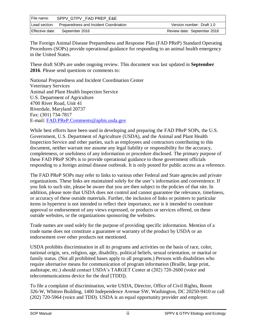| File name: | SPPV GTPV FAD PREP E&E                               |                             |
|------------|------------------------------------------------------|-----------------------------|
|            | Lead section: Preparedness and Incident Coordination | Version number: Draft 1.0   |
|            | Effective date: September 2016                       | Review date: September 2018 |

The Foreign Animal Disease Preparedness and Response Plan (FAD PReP) Standard Operating Procedures (SOPs) provide operational guidance for responding to an animal health emergency in the United States.

These draft SOPs are under ongoing review. This document was last updated in **September 2016**. Please send questions or comments to:

National Preparedness and Incident Coordination Center Veterinary Services Animal and Plant Health Inspection Service U.S. Department of Agriculture 4700 River Road, Unit 41 Riverdale, Maryland 20737 Fax: (301) 734-7817 E-mail: [FAD.PReP.Comments@aphis.usda.gov](mailto:FAD.PReP.Comments@aphis.usda.gov)

While best efforts have been used in developing and preparing the FAD PReP SOPs, the U.S. Government, U.S. Department of Agriculture (USDA), and the Animal and Plant Health Inspection Service and other parties, such as employees and contractors contributing to this document, neither warrant nor assume any legal liability or responsibility for the accuracy, completeness, or usefulness of any information or procedure disclosed. The primary purpose of these FAD PReP SOPs is to provide operational guidance to those government officials responding to a foreign animal disease outbreak. It is only posted for public access as a reference.

The FAD PReP SOPs may refer to links to various other Federal and State agencies and private organizations. These links are maintained solely for the user's information and convenience. If you link to such site, please be aware that you are then subject to the policies of that site. In addition, please note that USDA does not control and cannot guarantee the relevance, timeliness, or accuracy of these outside materials. Further, the inclusion of links or pointers to particular items in hypertext is not intended to reflect their importance, nor is it intended to constitute approval or endorsement of any views expressed, or products or services offered, on these outside websites, or the organizations sponsoring the websites.

Trade names are used solely for the purpose of providing specific information. Mention of a trade name does not constitute a guarantee or warranty of the product by USDA or an endorsement over other products not mentioned.

USDA prohibits discrimination in all its programs and activities on the basis of race, color, national origin, sex, religion, age, disability, political beliefs, sexual orientation, or marital or family status. (Not all prohibited bases apply to all programs.) Persons with disabilities who require alternative means for communication of program information (Braille, large print, audiotape, etc.) should contact USDA's TARGET Center at (202) 720-2600 (voice and telecommunications device for the deaf [TDD]).

To file a complaint of discrimination, write USDA, Director, Office of Civil Rights, Room 326-W, Whitten Building, 1400 Independence Avenue SW, Washington, DC 20250-9410 or call (202) 720-5964 (voice and TDD). USDA is an equal opportunity provider and employer.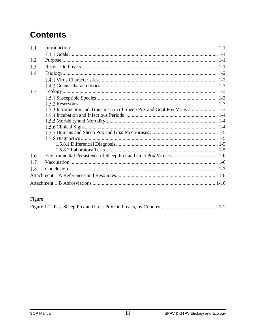# **Contents**

| 1.1 |                                                                          |  |
|-----|--------------------------------------------------------------------------|--|
|     |                                                                          |  |
| 1.2 |                                                                          |  |
| 1.3 |                                                                          |  |
| 1.4 |                                                                          |  |
|     |                                                                          |  |
|     |                                                                          |  |
| 1.5 |                                                                          |  |
|     |                                                                          |  |
|     |                                                                          |  |
|     | 1.5.3 Introduction and Transmission of Sheep Pox and Goat Pox Virus  1-3 |  |
|     |                                                                          |  |
|     |                                                                          |  |
|     |                                                                          |  |
|     |                                                                          |  |
|     |                                                                          |  |
|     |                                                                          |  |
|     |                                                                          |  |
| 1.6 |                                                                          |  |
| 1.7 |                                                                          |  |
| 1.8 |                                                                          |  |
|     |                                                                          |  |
|     |                                                                          |  |

## Figure

|--|--|--|--|--|--|--|--|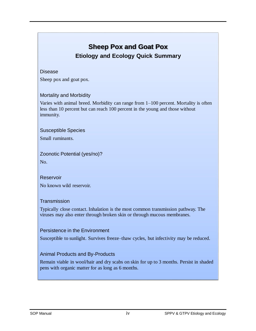## **Sheep Pox and Goat Pox Etiology and Ecology Quick Summary**

#### Disease

Sheep pox and goat pox.

#### Mortality and Morbidity

Varies with animal breed. Morbidity can range from 1–100 percent. Mortality is often less than 10 percent but can reach 100 percent in the young and those without immunity.

Susceptible Species

Small ruminants.

Zoonotic Potential (yes/no)? No.

Reservoir No known wild reservoir.

#### **Transmission**

Typically close contact. Inhalation is the most common transmission pathway. The viruses may also enter through broken skin or through mucous membranes.

#### Persistence in the Environment

Susceptible to sunlight. Survives freeze–thaw cycles, but infectivity may be reduced.

#### Animal Products and By-Products

Remain viable in wool/hair and dry scabs on skin for up to 3 months. Persist in shaded pens with organic matter for as long as 6 months.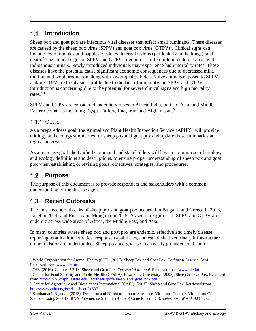#### <span id="page-4-0"></span> $1.1$ **Introduction**

Sheep pox and goat pox are infectious viral diseases that affect small ruminants. These diseases are caused by the sheep pox virus (SPPV) and goat pox virus  $(GTPV)^1$ . Clinical signs can include fever, nodules and papules, vesicles, internal lesions (particularly in the lungs), and death. <sup>2</sup> The clinical signs of SPPV and GTPV infection are often mild in endemic areas with indigenous animals. Newly introduced individuals may experience high mortality rates. These diseases have the potential cause significant economic consequences due to decreased milk, mutton, and wool production along with lower quality hides. Naïve animals exposed to SPPV and/or GTPV are highly susceptible due to the lack of immunity; an SPPV and GTPV introduction is concerning due to the potential for severe clinical signs and high mortality rates. 3,4

SPPV and GTPV are considered endemic viruses in Africa, India, parts of Asia, and Middle Eastern countries including Egypt, Turkey, Iraq, Iran, and Afghanistan.<sup>5</sup>

### <span id="page-4-1"></span>1.1.1 Goals

As a preparedness goal, the Animal and Plant Health Inspection Service (APHIS) will provide etiology and ecology summaries for sheep pox and goat pox and update these summaries at regular intervals.

As a response goal, the Unified Command and stakeholders will have a common set of etiology and ecology definitions and descriptions, to ensure proper understanding of sheep pox and goat pox when establishing or revising goals, objectives, strategies, and procedures.

#### <span id="page-4-2"></span> $1.2$ **Purpose**

The purpose of this document is to provide responders and stakeholders with a common understanding of the disease agent.

#### <span id="page-4-3"></span> $1.3$ **Recent Outbreaks**

The most recent outbreaks of sheep pox and goat pox occurred in Bulgaria and Greece in 2013, Israel in 2014, and Russia and Mongolia in 2015. As seen in Figure 1-1, SPPV and GTPV are endemic across wide areas of Africa, the Middle East, and Asia.

In many countries where sheep pox and goat pox are endemic, effective and timely disease reporting, eradication activities, response capabilities, and established veterinary infrastructure do not exist or are underfunded. Sheep pox and goat pox can easily go undetected and/or

 $\overline{a}$ <sup>1</sup> World Organization for Animal Health (OIE). (2013). Sheep Pox and Goat Pox. *Technical Disease Card*. Retrieved from [www.oie.int.](http://www.oie.int/)

<sup>2</sup> OIE. (2016). Chapter 2.7.13. Sheep and Goat Pox. *Terrestrial Manual*. Retrieved from [www.oie.int.](http://www.oie.int/)

<sup>&</sup>lt;sup>3</sup> Center for Food Security and Public Health (CFSPH), Iowa State University. (2008). Sheep & Goat Pox. Retrieved from [http://www.cfsph.iastate.edu/Factsheets/pdfs/sheep\\_and\\_goat\\_pox.pdf.](http://www.cfsph.iastate.edu/Factsheets/pdfs/sheep_and_goat_pox.pdf)

<sup>4</sup> Center for Agriculture and Biosciences International (CABI). (2015). Sheep and Goat Pox. Retrieved from [http://www.cabi.org/isc/datasheet/81537.](http://www.cabi.org/isc/datasheet/81537)

<sup>&</sup>lt;sup>5</sup> Santhamani, R., et al. (2013). Detection and Differentiation of Sheeppox Virus and Goatpox Virus from Clinical Samples Using 30 KDa RNA Polymerase Subunit (RPO30) Gene Based PCR. *Veterinary World*, 923-925.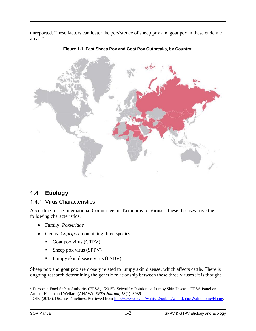unreported. These factors can foster the persistence of sheep pox and goat pox in these endemic areas. <sup>6</sup>





#### <span id="page-5-0"></span>**Etiology**  $1.4$

### <span id="page-5-1"></span>1.4.1 Virus Characteristics

According to the International Committee on Taxonomy of Viruses, these diseases have the following characteristics:

- Family: *Poxviridae*
- Genus: *Capripox,* containing three species:
	- Goat pox virus (GTPV)
	- $\blacksquare$  Sheep pox virus (SPPV)
	- **Lumpy skin disease virus (LSDV)**

Sheep pox and goat pox are closely related to lumpy skin disease, which affects cattle. There is ongoing research determining the genetic relationship between these three viruses; it is thought

 $\overline{a}$ <sup>6</sup> European Food Safety Authority (EFSA). (2015). Scientific Opinion on Lumpy Skin Disease. EFSA Panel on Animal Health and Welfare (AHAW). *EFSA Journal*, *13*(1): 3986.

<sup>&</sup>lt;sup>7</sup> OIE. (2015). Disease Timelines. Retrieved from [http://www.oie.int/wahis\\_2/public/wahid.php/Wahidhome/Home.](http://www.oie.int/wahis_2/public/wahid.php/Wahidhome/Home)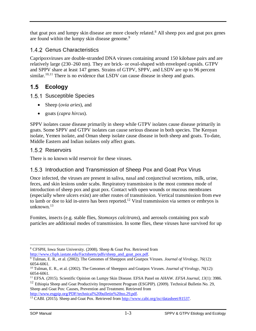that goat pox and lumpy skin disease are more closely related. <sup>8</sup> All sheep pox and goat pox genes are found within the lumpy skin disease genome.<sup>9</sup>

### <span id="page-6-0"></span>1.4.2 Genus Characteristics

Capripoxviruses are double-stranded DNA viruses containing around 150 kilobase pairs and are relatively large (230–260 nm). They are brick- or oval-shaped with enveloped capsids. GTPV and SPPV share at least 147 genes. Strains of GTPV, SPPV, and LSDV are up to 96 percent similar.<sup>10,11</sup> There is no evidence that LSDV can cause disease in sheep and goats.

#### <span id="page-6-1"></span> $1.5$ **Ecology**

#### <span id="page-6-2"></span>1.5.1 Susceptible Species

- Sheep (*ovia aries*), and
- goats (*capra hircus*).

SPPV isolates cause disease primarily in sheep while GTPV isolates cause disease primarily in goats. Some SPPV and GTPV isolates can cause serious disease in both species. The Kenyan isolate, Yemen isolate, and Oman sheep isolate cause disease in both sheep and goats. To-date, Middle Eastern and Indian isolates only affect goats.

### <span id="page-6-3"></span>1.5.2 Reservoirs

There is no known wild reservoir for these viruses.

### <span id="page-6-4"></span>1.5.3 Introduction and Transmission of Sheep Pox and Goat Pox Virus

Once infected, the viruses are present in saliva, nasal and conjunctival secretions, milk, urine, feces, and skin lesions under scabs. Respiratory transmission is the most common mode of introduction of sheep pox and goat pox. Contact with open wounds or mucous membranes (especially where ulcers exist) are other routes of transmission. Vertical transmission from ewe to lamb or doe to kid in-utero has been reported.<sup>12</sup> Viral transmission via semen or embryos is unknown.<sup>13</sup>

Fomites, insects (e.g. stable flies, *Stomoxys calcitrans*), and aerosols containing pox scab particles are additional modes of transmission. In some flies, these viruses have survived for up

<sup>12</sup> Ethiopia Sheep and Goat Productivity Improvement Program (ESGPIP). (2009). Technical Bulletin No. 29, Sheep and Goat Pox: Causes, Prevention and Treatment. Retrieved from [http://www.esgpip.org/PDF/technical%20bulletin%20no.29.pdf.](http://www.esgpip.org/PDF/technical%20bulletin%20no.29.pdf)

 $\overline{a}$ <sup>8</sup> CFSPH, Iowa State University. (2008). Sheep & Goat Pox. Retrieved from

[http://www.cfsph.iastate.edu/Factsheets/pdfs/sheep\\_and\\_goat\\_pox.pdf.](http://www.cfsph.iastate.edu/Factsheets/pdfs/sheep_and_goat_pox.pdf)

<sup>9</sup> Tulman, E. R., et al. (2002). The Genomes of Sheeppox and Goatpox Viruses. *Journal of Virology*, *76*(12): 6054-6061.

<sup>10</sup> Tulman, E. R., et al. (2002). The Genomes of Sheeppox and Goatpox Viruses. *Journal of Virology, 76*(12): 6054-6061.

<sup>11</sup> EFSA. (2015). Scientific Opinion on Lumpy Skin Disease. EFSA Panel on AHAW. *EFSA Journal*, *13*(1): 3986.

<sup>&</sup>lt;sup>13</sup> CABI. (2015). Sheep and Goat Pox. Retrieved from [http://www.cabi.org/isc/datasheet/81537.](http://www.cabi.org/isc/datasheet/81537)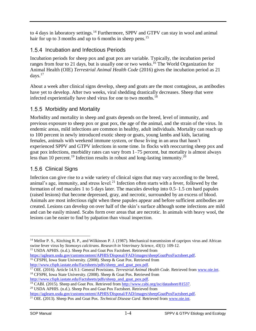to 4 days in laboratory settings.<sup>14</sup> Furthermore, SPPV and GTPV can stay in wool and animal hair for up to 3 months and up to 6 months in sheep pens.<sup>15</sup>

### <span id="page-7-0"></span>1.5.4 Incubation and Infectious Periods

Incubation periods for sheep pox and goat pox are variable. Typically, the incubation period ranges from four to 21 days, but is usually one or two weeks. <sup>16</sup> The World Organization for Animal Health (OIE) *Terrestrial Animal Health Code* (2016) gives the incubation period as 21 days. 17

About a week after clinical signs develop, sheep and goats are the most contagious, as antibodies have yet to develop. After two weeks, viral shedding drastically decreases. Sheep that were infected experientially have shed virus for one to two months.<sup>18</sup>

### <span id="page-7-1"></span>1.5.5 Morbidity and Mortality

Morbidity and mortality in sheep and goats depends on the breed, level of immunity, and previous exposure to sheep pox or goat pox, the age of the animal, and the strain of the virus. In endemic areas, mild infections are common in healthy, adult individuals. Mortality can reach up to 100 percent in newly introduced exotic sheep or goats, young lambs and kids, lactating females, animals with weekend immune system, or those living in an area that hasn't experienced SPPV and GTPV infections in some time. In flocks with reoccurring sheep pox and goat pox infections, morbidity rates can vary from 1–75 percent, but mortality is almost always less than 10 percent.<sup>19</sup> Infection results in robust and long-lasting immunity.<sup>20</sup>

### <span id="page-7-2"></span>1.5.6 Clinical Signs

Infection can give rise to a wide variety of clinical signs that may vary according to the breed, animal's age, immunity, and stress level.<sup>21</sup> Infection often starts with a fever, followed by the formation of red macules 1 to 5 days later. The macules develop into 0.5–1.5 cm hard papules (raised lesions) that become depressed, gray, and necrotic, surrounded by an excess of blood. Animals are most infectious right when these papules appear and before sufficient antibodies are created. Lesions can develop on over half of the skin's surface although some infections are mild and can be easily missed. Scabs form over areas that are necrotic. In animals with heavy wool, the lesions can be easier to find by palpation than visual inspection.

 $\overline{a}$ <sup>14</sup> Mellor P. S., Kitching R. P., and Wilkinson P. J. (1987). Mechanical transmission of capripox virus and African swine fever virus by *Stomoxys calcitrans*. *Research in Veterinary Science*, *43*(1): 109-12. <sup>15</sup> USDA APHIS. (n.d.). Sheep Pox and Goat Pox Factsheet. Retrieved from

[https://aglearn.usda.gov/customcontent/APHIS/Disposal/FAD/images/sheepGoatPoxFactsheet.pdf.](https://aglearn.usda.gov/customcontent/APHIS/Disposal/FAD/images/sheepGoatPoxFactsheet.pdf) <sup>16</sup> CFSPH, Iowa State University. (2008). Sheep & Goat Pox. Retrieved from [http://www.cfsph.iastate.edu/Factsheets/pdfs/sheep\\_and\\_goat\\_pox.pdf.](http://www.cfsph.iastate.edu/Factsheets/pdfs/sheep_and_goat_pox.pdf)

<sup>17</sup> OIE. (2016). Article 14.9.1: General Provisions. *Terrestrial Animal Health Code.* Retrieved from [www.oie.int.](http://www.oie.int/) <sup>18</sup> CFSPH, Iowa State University. (2008). Sheep & Goat Pox. Retrieved from

[http://www.cfsph.iastate.edu/Factsheets/pdfs/sheep\\_and\\_goat\\_pox.pdf.](http://www.cfsph.iastate.edu/Factsheets/pdfs/sheep_and_goat_pox.pdf)

<sup>&</sup>lt;sup>19</sup> CABI. (2015). Sheep and Goat Pox. Retrieved from [http://www.cabi.org/isc/datasheet/81537.](http://www.cabi.org/isc/datasheet/81537) <sup>20</sup> USDA APHIS. (n.d.). Sheep Pox and Goat Pox Factsheet. Retrieved from

[https://aglearn.usda.gov/customcontent/APHIS/Disposal/FAD/images/sheepGoatPoxFactsheet.pdf.](https://aglearn.usda.gov/customcontent/APHIS/Disposal/FAD/images/sheepGoatPoxFactsheet.pdf)

<sup>21</sup> OIE. (2013). Sheep Pox and Goat Pox. *Technical Disease Card*. Retrieved fro[m www.oie.int.](http://www.oie.int/)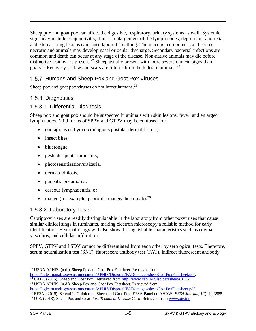Sheep pox and goat pox can affect the digestive, respiratory, urinary systems as well. Systemic signs may include conjunctivitis, rhinitis, enlargement of the lymph nodes, depression, anorexia, and edema. Lung lesions can cause labored breathing. The mucous membranes can become necrotic and animals may develop nasal or ocular discharge. Secondary bacterial infections are common and death can occur at any stage of the disease. Non-native animals may die before distinctive lesions are present.<sup>22</sup> Sheep usually present with more severe clinical signs than goats.<sup>23</sup> Recovery is slow and scars are often left on the hides of animals.<sup>24</sup>

### <span id="page-8-0"></span>1.5.7 Humans and Sheep Pox and Goat Pox Viruses

Sheep pox and goat pox viruses do not infect humans.<sup>25</sup>

#### <span id="page-8-1"></span>1.5.8 Diagnostics

#### <span id="page-8-2"></span>1.5.8.1 Differential Diagnosis

Sheep pox and goat pox should be suspected in animals with skin lesions, fever, and enlarged lymph nodes. Mild forms of SPPV and GTPV may be confused for:

- contagious ecthyma (contagious pustular dermatitis, orf),
- insect bites,
- bluetongue,
- peste des petits ruminants,
- photosensitization/urticaria,
- dermatophilosis,
- parasitic pneumonia,
- caseous lymphadenitis, or
- mange (for example, psoroptic mange/sheep scab).<sup>26</sup>

### <span id="page-8-3"></span>1.5.8.2 Laboratory Tests

Capripoxviruses are readily distinguishable in the laboratory from other poxviruses that cause similar clinical sings in ruminants, making electron microscopy a reliable method for early identification. Histopathology will also show distinguishable characteristics such as edema, vasculitis, and cellular infiltration.

SPPV, GTPV and LSDV cannot be differentiated from each other by serological tests. Therefore, serum neutralization test (SNT), fluorescent antibody test (FAT), indirect fluorescent antibody

 $\overline{a}$ <sup>22</sup> USDA APHIS. (n.d.). Sheep Pox and Goat Pox Factsheet. Retrieved from

[https://aglearn.usda.gov/customcontent/APHIS/Disposal/FAD/images/sheepGoatPoxFactsheet.pdf.](https://aglearn.usda.gov/customcontent/APHIS/Disposal/FAD/images/sheepGoatPoxFactsheet.pdf)

<sup>&</sup>lt;sup>23</sup> CABI. (2015). Sheep and Goat Pox. Retrieved from [http://www.cabi.org/isc/datasheet/81537.](http://www.cabi.org/isc/datasheet/81537)

<sup>&</sup>lt;sup>24</sup> USDA APHIS. (n.d.). Sheep Pox and Goat Pox Factsheet. Retrieved from

[https://aglearn.usda.gov/customcontent/APHIS/Disposal/FAD/images/sheepGoatPoxFactsheet.pdf.](https://aglearn.usda.gov/customcontent/APHIS/Disposal/FAD/images/sheepGoatPoxFactsheet.pdf)

<sup>25</sup> EFSA. (2015). Scientific Opinion on Sheep and Goat Pox. EFSA Panel on AHAW. *EFSA Journal*, *12*(11): 3885

<sup>26</sup> OIE. (2013). Sheep Pox and Goat Pox. *Technical Disease Card*. Retrieved fro[m www.oie.int.](http://www.oie.int/)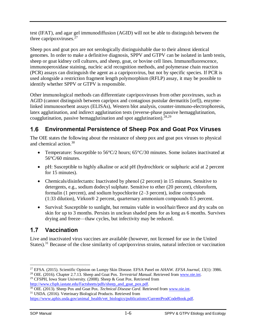test (IFAT), and agar gel immunodiffusion (AGID) will not be able to distinguish between the three capripoxviruses.<sup>27</sup>

Sheep pox and goat pox are not serologically distinguishable due to their almost identical genomes. In order to make a definitive diagnosis, SPPV and GTPV can be isolated in lamb testis, sheep or goat kidney cell cultures, and sheep, goat, or bovine cell lines. Immunofluorescence, immunoperoxidase staining, nucleic acid recognition methods, and polymerase chain reaction (PCR) assays can distinguish the agent as a capripoxvirus, but not by specific species. If PCR is used alongside a restriction fragment length polymorphism (RFLP) assay, it may be possible to identify whether SPPV or GTPV is responsible.

Other immunological methods can differentiate capripoxviruses from other poxviruses, such as AGID (cannot distinguish between capripox and contagious pustular dermatitis [orf]), enzymelinked immunosorbent assays (ELISAs), Western blot analysis, counter-immuno-electrophoresis, latex agglutination, and indirect agglutination tests (reverse-phase passive hemagglutination, coagglutination, passive hemagglutination and spot agglutination).<sup>28,29</sup>

#### <span id="page-9-0"></span> $1.6$ **Environmental Persistence of Sheep Pox and Goat Pox Viruses**

The OIE states the following about the resistance of sheep pox and goat pox viruses to physical and chemical action. 30

- Temperature: Susceptible to 56°C/2 hours; 65°C/30 minutes. Some isolates inactivated at 56°C/60 minutes.
- pH: Susceptible to highly alkaline or acid pH (hydrochloric or sulphuric acid at 2 percent for 15 minutes).
- Chemicals/disinfectants: Inactivated by phenol (2 percent) in 15 minutes. Sensitive to detergents, e.g., sodium dodecyl sulphate. Sensitive to ether (20 percent), chloroform, formalin (1 percent), and sodium hypochlorite (2–3 percent), iodine compounds (1:33 dilution), Virkon® 2 percent, quarternary ammonium compounds 0.5 percent.
- Survival: Susceptible to sunlight, but remains viable in wool/hair/fleece and dry scabs on skin for up to 3 months. Persists in unclean shaded pens for as long as 6 months. Survives drying and freeze—thaw cycles, but infectivity may be reduced.

#### <span id="page-9-1"></span> $1.7$ **Vaccination**

Live and inactivated virus vaccines are available (however, not licensed for use in the United States).<sup>31</sup> Because of the close similarity of capripoxvirus strains, natural infection or vaccination

 $\overline{a}$ <sup>27</sup> EFSA. (2015). Scientific Opinion on Lumpy Skin Disease. EFSA Panel on AHAW. *EFSA Journal*, *13*(1): 3986.

<sup>28</sup> OIE. (2016). Chapter 2.7.13. Sheep and Goat Pox. *Terrestrial Manual*. Retrieved from [www.oie.int.](http://www.oie.int/) <sup>29</sup> CFSPH, Iowa State University. (2008). Sheep & Goat Pox. Retrieved from [http://www.cfsph.iastate.edu/Factsheets/pdfs/sheep\\_and\\_goat\\_pox.pdf.](http://www.cfsph.iastate.edu/Factsheets/pdfs/sheep_and_goat_pox.pdf)

<sup>30</sup> OIE. (2013). Sheep Pox and Goat Pox. *Technical Disease Card*. Retrieved fro[m www.oie.int.](http://www.oie.int/)

<sup>31</sup> USDA. (2016). Veterinary Biological Products. Retrieved from

[https://www.aphis.usda.gov/animal\\_health/vet\\_biologics/publications/CurrentProdCodeBook.pdf.](https://www.aphis.usda.gov/animal_health/vet_biologics/publications/CurrentProdCodeBook.pdf)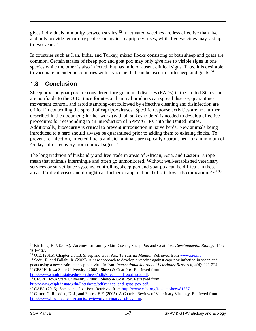gives individuals immunity between strains.<sup>32</sup> Inactivated vaccines are less effective than live and only provide temporary protection against capripoxviruses, while live vaccines may last up to two years.<sup>33</sup>

In countries such as Iran, India, and Turkey, mixed flocks consisting of both sheep and goats are common. Certain strains of sheep pox and goat pox may only give rise to visible signs in one species while the other is also infected, but has mild or absent clinical signs. Thus, it is desirable to vaccinate in endemic countries with a vaccine that can be used in both sheep and goats.<sup>34</sup>

#### <span id="page-10-0"></span> $1.8$ **Conclusion**

Sheep pox and goat pox are considered foreign animal diseases (FADs) in the United States and are notifiable to the OIE. Since fomites and animal products can spread disease, quarantines, movement control, and rapid stamping-out followed by effective cleaning and disinfection are critical in controlling the spread of capripoxviruses. Specific response activities are not further described in the document; further work (with all stakesholders) is needed to develop effective procedures for reesponding to an introduction of SPPV/GTPV into the United States. Additionally, biosecurity is critical to prevent introduction in naïve herds. New animals being introduced to a herd should always be quarantined prior to adding them to existing flocks. To prevent re-infection, infected flocks and sick animals are typically quarantined for a minimum of 45 days after recovery from clinical signs.<sup>35</sup>

The long tradition of husbandry and free trade in areas of African, Asia, and Eastern Europe mean that animals intermingle and often go unmonitored. Without well-established veterinary services or surveillance systems, controlling sheep pox and goat pox can be difficult in these areas. Political crises and drought can further disrupt national efforts towards eradication.<sup>36,37,38</sup>

 $\overline{a}$ 

<sup>32</sup> Kitching, R.P. (2003). Vaccines for Lumpy Skin Disease, Sheep Pox and Goat Pox. *Developmental Biology*, 114:  $161 - 167.$ 

<sup>33</sup> OIE. (2016). Chapter 2.7.13. Sheep and Goat Pox. *Terrestrial Manual*. Retrieved from [www.oie.int.](http://www.oie.int/)

<sup>&</sup>lt;sup>34</sup> Sadri, R. and Fallahi, R. (2009). A new approach to develop a vaccine against capripox infection in sheep and goats using a new strain of sheep pox virus in Iran. *International Journal of Veterinary Research*, *4*(4): 221-224. <sup>35</sup> CFSPH, Iowa State University. (2008). Sheep & Goat Pox. Retrieved from [http://www.cfsph.iastate.edu/Factsheets/pdfs/sheep\\_and\\_goat\\_pox.pdf.](http://www.cfsph.iastate.edu/Factsheets/pdfs/sheep_and_goat_pox.pdf)

<sup>&</sup>lt;sup>36</sup> CFSPH, Iowa State University. (2008). Sheep & Goat Pox. Retrieved from

[http://www.cfsph.iastate.edu/Factsheets/pdfs/sheep\\_and\\_goat\\_pox.pdf.](http://www.cfsph.iastate.edu/Factsheets/pdfs/sheep_and_goat_pox.pdf)

<sup>37</sup> CABI. (2015). Sheep and Goat Pox. Retrieved from [http://www.cabi.org/isc/datasheet/81537.](http://www.cabi.org/isc/datasheet/81537)

<sup>38</sup> Carter, G. R., Wise, D. J., and Flores, E.F. (2005). A Concise Review of Veterinary Virology. Retrieved from <http://www.libyanvet.com/concisereviewofveterinaryvirology.htm.>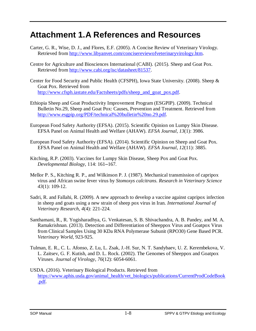## <span id="page-11-0"></span>**Attachment 1.A References and Resources**

- Carter, G. R., Wise, D. J., and Flores, E.F. (2005). A Concise Review of Veterinary Virology. Retrieved from [http://www.libyanvet.com/concisereviewofveterinaryvirology.htm.](http://www.libyanvet.com/concisereviewofveterinaryvirology.htm)
- Centre for Agriculture and Biosciences International (CABI). (2015). Sheep and Goat Pox. Retrieved from [http://www.cabi.org/isc/datasheet/81537.](http://www.cabi.org/isc/datasheet/81537)
- Center for Food Security and Public Health (CFSPH), Iowa State University. (2008). Sheep & Goat Pox. Retrieved from [http://www.cfsph.iastate.edu/Factsheets/pdfs/sheep\\_and\\_goat\\_pox.pdf.](http://www.cfsph.iastate.edu/Factsheets/pdfs/sheep_and_goat_pox.pdf)
- Ethiopia Sheep and Goat Productivity Improvement Program (ESGPIP). (2009). Technical Bulletin No.29, Sheep and Goat Pox: Causes, Prevention and Treatment. Retrieved from [http://www.esgpip.org/PDF/technical%20bulletin%20no.29.pdf.](http://www.esgpip.org/PDF/technical%20bulletin%20no.29.pdf)
- European Food Safety Authority (EFSA). (2015). Scientific Opinion on Lumpy Skin Disease. EFSA Panel on Animal Health and Welfare (AHAW). *EFSA Journal*, *13*(1): 3986.
- European Food Safety Authority (EFSA). (2014). Scientific Opinion on Sheep and Goat Pox. EFSA Panel on Animal Health and Welfare (AHAW). *EFSA Journal*, *12*(11): 3885.
- Kitching, R.P. (2003). Vaccines for Lumpy Skin Disease, Sheep Pox and Goat Pox. *Developmental Biology*, 114: 161-167.
- Mellor P. S., Kitching R. P., and Wilkinson P. J. (1987). Mechanical transmission of capripox virus and African swine fever virus by *Stomoxys calcitrans*. *Research in Veterinary Science 43*(1): 109-12.
- Sadri, R. and Fallahi, R. (2009). A new approach to develop a vaccine against capripox infection in sheep and goats using a new strain of sheep pox virus in Iran. *International Journal of Veterinary Research*, *4*(4): 221-224.
- Santhamani, R., R. Yogisharadhya, G. Venkatesan, S. B. Shivachandra, A. B. Pandey, and M. A. Ramakrishnan. (2013). Detection and Differentiation of Sheeppox Virus and Goatpox Virus from Clinical Samples Using 30 KDa RNA Polymerase Subunit (RPO30) Gene Based PCR. *Veterinary World*, 923-925.
- Tulman, E. R., C. L. Afonso, Z. Lu, L. Zsak, J.-H. Sur, N. T. Sandybaev, U. Z. Kerembekova, V. L. Zaitsev, G. F. Kutish, and D. L. Rock. (2002). The Genomes of Sheeppox and Goatpox Viruses. *Journal of Virology*, *76*(12): 6054-6061.
- USDA. (2016). Veterinary Biological Products. Retrieved from [https://www.aphis.usda.gov/animal\\_health/vet\\_biologics/publications/CurrentProdCodeBook](https://www.aphis.usda.gov/animal_health/vet_biologics/publications/CurrentProdCodeBook.pdf) [.pdf.](https://www.aphis.usda.gov/animal_health/vet_biologics/publications/CurrentProdCodeBook.pdf)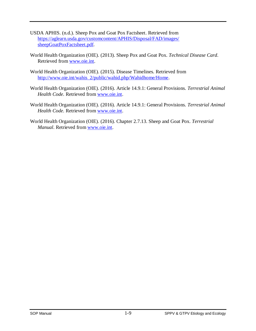- USDA APHIS. (n.d.). Sheep Pox and Goat Pox Factsheet. Retrieved from [https://aglearn.usda.gov/customcontent/APHIS/Disposal/FAD/images/](https://aglearn.usda.gov/customcontent/APHIS/Disposal/FAD/images/sheepGoatPoxFactsheet.pdf)  [sheepGoatPoxFactsheet.pdf.](https://aglearn.usda.gov/customcontent/APHIS/Disposal/FAD/images/sheepGoatPoxFactsheet.pdf)
- World Health Organization (OIE). (2013). Sheep Pox and Goat Pox. *Technical Disease Card*. Retrieved from [www.oie.int.](http://www.oie.int/)
- World Health Organization (OIE). (2015). Disease Timelines. Retrieved from [http://www.oie.int/wahis\\_2/public/wahid.php/Wahidhome/Home.](http://www.oie.int/wahis_2/public/wahid.php/Wahidhome/Home)
- World Health Organization (OIE). (2016). Article 14.9.1: General Provisions. *Terrestrial Animal Health Code.* Retrieved from [www.oie.int.](http://www.oie.int/)
- World Health Organization (OIE). (2016). Article 14.9.1: General Provisions. *Terrestrial Animal Health Code.* Retrieved from [www.oie.int.](http://www.oie.int/)
- World Health Organization (OIE). (2016). Chapter 2.7.13. Sheep and Goat Pox. *Terrestrial Manual*. Retrieved from [www.oie.int.](http://www.oie.int/)